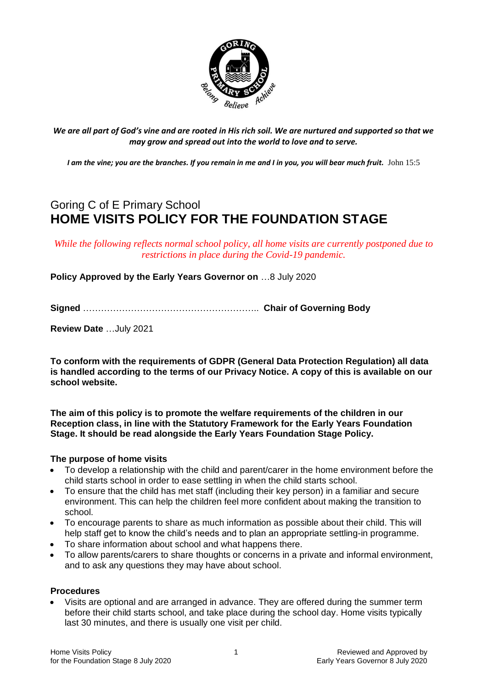

*We are all part of God's vine and are rooted in His rich soil. We are nurtured and supported so that we may grow and spread out into the world to love and to serve.*

*I am the vine; you are the branches. If you remain in me and I in you, you will bear much fruit.* John 15:5

# Goring C of E Primary School **HOME VISITS POLICY FOR THE FOUNDATION STAGE**

*While the following reflects normal school policy, all home visits are currently postponed due to restrictions in place during the Covid-19 pandemic.*

**Policy Approved by the Early Years Governor on** …8 July 2020

**Signed** ………………………………………………….. **Chair of Governing Body**

**Review Date** …July 2021

**To conform with the requirements of GDPR (General Data Protection Regulation) all data is handled according to the terms of our Privacy Notice. A copy of this is available on our school website.** 

**The aim of this policy is to promote the welfare requirements of the children in our Reception class, in line with the Statutory Framework for the Early Years Foundation Stage. It should be read alongside the Early Years Foundation Stage Policy.**

#### **The purpose of home visits**

- To develop a relationship with the child and parent/carer in the home environment before the child starts school in order to ease settling in when the child starts school.
- To ensure that the child has met staff (including their key person) in a familiar and secure environment. This can help the children feel more confident about making the transition to school.
- To encourage parents to share as much information as possible about their child. This will help staff get to know the child's needs and to plan an appropriate settling-in programme.
- To share information about school and what happens there.
- To allow parents/carers to share thoughts or concerns in a private and informal environment, and to ask any questions they may have about school.

#### **Procedures**

 Visits are optional and are arranged in advance. They are offered during the summer term before their child starts school, and take place during the school day. Home visits typically last 30 minutes, and there is usually one visit per child.